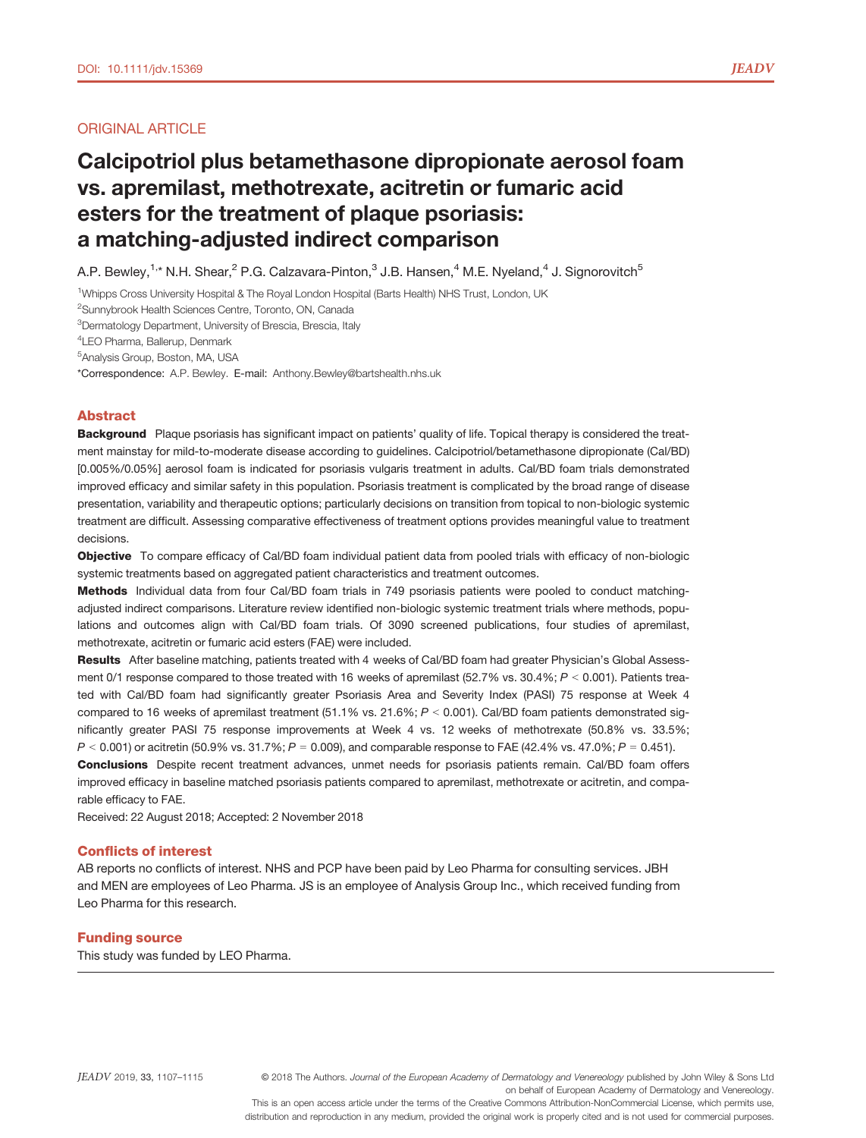# ORIGINAL ARTICLE

# Calcipotriol plus betamethasone dipropionate aerosol foam vs. apremilast, methotrexate, acitretin or fumaric acid esters for the treatment of plaque psoriasis: a matching-adjusted indirect comparison

A.P. Bewley,<sup>1,\*</sup> N.H. Shear,<sup>2</sup> P.G. Calzavara-Pinton,<sup>3</sup> J.B. Hansen,<sup>4</sup> M.E. Nyeland,<sup>4</sup> J. Signorovitch<sup>5</sup>

<sup>1</sup>Whipps Cross University Hospital & The Royal London Hospital (Barts Health) NHS Trust, London, UK

<sup>2</sup>Sunnybrook Health Sciences Centre, Toronto, ON, Canada

<sup>3</sup>Dermatology Department, University of Brescia, Brescia, Italy

4 LEO Pharma, Ballerup, Denmark

5 Analysis Group, Boston, MA, USA

\*Correspondence: A.P. Bewley. E-mail: [Anthony.Bewley@bartshealth.nhs.uk](mailto:)

# Abstract

Background Plaque psoriasis has significant impact on patients' quality of life. Topical therapy is considered the treatment mainstay for mild-to-moderate disease according to guidelines. Calcipotriol/betamethasone dipropionate (Cal/BD) [0.005%/0.05%] aerosol foam is indicated for psoriasis vulgaris treatment in adults. Cal/BD foam trials demonstrated improved efficacy and similar safety in this population. Psoriasis treatment is complicated by the broad range of disease presentation, variability and therapeutic options; particularly decisions on transition from topical to non-biologic systemic treatment are difficult. Assessing comparative effectiveness of treatment options provides meaningful value to treatment decisions.

Objective To compare efficacy of Cal/BD foam individual patient data from pooled trials with efficacy of non-biologic systemic treatments based on aggregated patient characteristics and treatment outcomes.

Methods Individual data from four Cal/BD foam trials in 749 psoriasis patients were pooled to conduct matchingadjusted indirect comparisons. Literature review identified non-biologic systemic treatment trials where methods, populations and outcomes align with Cal/BD foam trials. Of 3090 screened publications, four studies of apremilast, methotrexate, acitretin or fumaric acid esters (FAE) were included.

Results After baseline matching, patients treated with 4 weeks of Cal/BD foam had greater Physician's Global Assessment 0/1 response compared to those treated with 16 weeks of apremilast (52.7% vs. 30.4%;  $P < 0.001$ ). Patients treated with Cal/BD foam had significantly greater Psoriasis Area and Severity Index (PASI) 75 response at Week 4 compared to 16 weeks of apremilast treatment (51.1% vs. 21.6%;  $P < 0.001$ ). Cal/BD foam patients demonstrated significantly greater PASI 75 response improvements at Week 4 vs. 12 weeks of methotrexate (50.8% vs. 33.5%;  $P < 0.001$  or acitretin (50.9% vs. 31.7%;  $P = 0.009$ ), and comparable response to FAE (42.4% vs. 47.0%;  $P = 0.451$ ).

Conclusions Despite recent treatment advances, unmet needs for psoriasis patients remain. Cal/BD foam offers improved efficacy in baseline matched psoriasis patients compared to apremilast, methotrexate or acitretin, and comparable efficacy to FAE.

Received: 22 August 2018; Accepted: 2 November 2018

## Conflicts of interest

AB reports no conflicts of interest. NHS and PCP have been paid by Leo Pharma for consulting services. JBH and MEN are employees of Leo Pharma. JS is an employee of Analysis Group Inc., which received funding from Leo Pharma for this research.

# Funding source

This study was funded by LEO Pharma.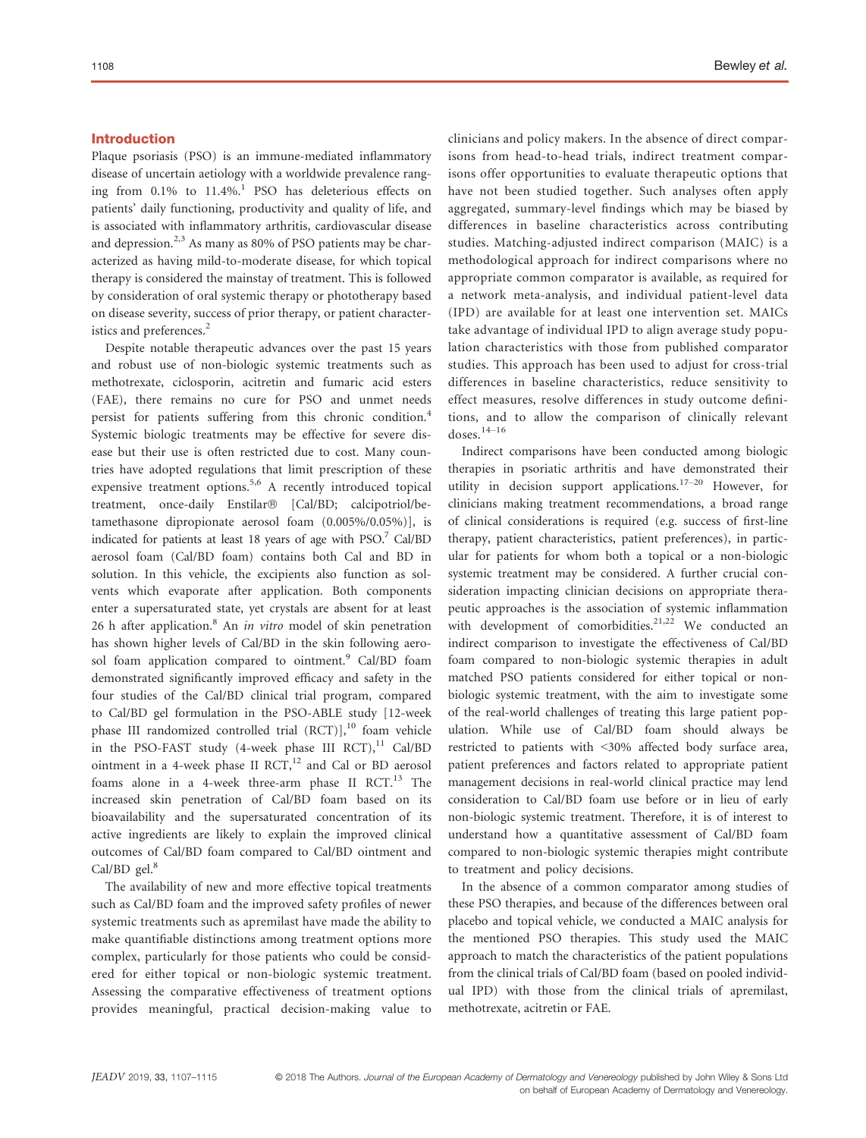# Introduction

Plaque psoriasis (PSO) is an immune-mediated inflammatory disease of uncertain aetiology with a worldwide prevalence ranging from  $0.1\%$  to  $11.4\%$ .<sup>1</sup> PSO has deleterious effects on patients' daily functioning, productivity and quality of life, and is associated with inflammatory arthritis, cardiovascular disease and depression. $2,3$  As many as 80% of PSO patients may be characterized as having mild-to-moderate disease, for which topical therapy is considered the mainstay of treatment. This is followed by consideration of oral systemic therapy or phototherapy based on disease severity, success of prior therapy, or patient characteristics and preferences.<sup>2</sup>

Despite notable therapeutic advances over the past 15 years and robust use of non-biologic systemic treatments such as methotrexate, ciclosporin, acitretin and fumaric acid esters (FAE), there remains no cure for PSO and unmet needs persist for patients suffering from this chronic condition.<sup>4</sup> Systemic biologic treatments may be effective for severe disease but their use is often restricted due to cost. Many countries have adopted regulations that limit prescription of these expensive treatment options.<sup>5,6</sup> A recently introduced topical treatment, once-daily Enstilar<sup>®</sup> [Cal/BD; calcipotriol/betamethasone dipropionate aerosol foam (0.005%/0.05%)], is indicated for patients at least 18 years of age with PSO.7 Cal/BD aerosol foam (Cal/BD foam) contains both Cal and BD in solution. In this vehicle, the excipients also function as solvents which evaporate after application. Both components enter a supersaturated state, yet crystals are absent for at least 26 h after application. $8$  An *in vitro* model of skin penetration has shown higher levels of Cal/BD in the skin following aerosol foam application compared to ointment.<sup>9</sup> Cal/BD foam demonstrated significantly improved efficacy and safety in the four studies of the Cal/BD clinical trial program, compared to Cal/BD gel formulation in the PSO-ABLE study [12-week phase III randomized controlled trial  $(RCT)$ ],<sup>10</sup> foam vehicle in the PSO-FAST study (4-week phase III RCT), $^{11}$  Cal/BD ointment in a 4-week phase II RCT, $^{12}$  and Cal or BD aerosol foams alone in a 4-week three-arm phase II RCT. $^{13}$  The increased skin penetration of Cal/BD foam based on its bioavailability and the supersaturated concentration of its active ingredients are likely to explain the improved clinical outcomes of Cal/BD foam compared to Cal/BD ointment and Cal/BD  $\text{gel.}^8$ 

The availability of new and more effective topical treatments such as Cal/BD foam and the improved safety profiles of newer systemic treatments such as apremilast have made the ability to make quantifiable distinctions among treatment options more complex, particularly for those patients who could be considered for either topical or non-biologic systemic treatment. Assessing the comparative effectiveness of treatment options provides meaningful, practical decision-making value to clinicians and policy makers. In the absence of direct comparisons from head-to-head trials, indirect treatment comparisons offer opportunities to evaluate therapeutic options that have not been studied together. Such analyses often apply aggregated, summary-level findings which may be biased by differences in baseline characteristics across contributing studies. Matching-adjusted indirect comparison (MAIC) is a methodological approach for indirect comparisons where no appropriate common comparator is available, as required for a network meta-analysis, and individual patient-level data (IPD) are available for at least one intervention set. MAICs take advantage of individual IPD to align average study population characteristics with those from published comparator studies. This approach has been used to adjust for cross-trial differences in baseline characteristics, reduce sensitivity to effect measures, resolve differences in study outcome definitions, and to allow the comparison of clinically relevant doses. $14-16$ 

Indirect comparisons have been conducted among biologic therapies in psoriatic arthritis and have demonstrated their utility in decision support applications.17–<sup>20</sup> However, for clinicians making treatment recommendations, a broad range of clinical considerations is required (e.g. success of first-line therapy, patient characteristics, patient preferences), in particular for patients for whom both a topical or a non-biologic systemic treatment may be considered. A further crucial consideration impacting clinician decisions on appropriate therapeutic approaches is the association of systemic inflammation with development of comorbidities. $2^{1,22}$  We conducted an indirect comparison to investigate the effectiveness of Cal/BD foam compared to non-biologic systemic therapies in adult matched PSO patients considered for either topical or nonbiologic systemic treatment, with the aim to investigate some of the real-world challenges of treating this large patient population. While use of Cal/BD foam should always be restricted to patients with <30% affected body surface area, patient preferences and factors related to appropriate patient management decisions in real-world clinical practice may lend consideration to Cal/BD foam use before or in lieu of early non-biologic systemic treatment. Therefore, it is of interest to understand how a quantitative assessment of Cal/BD foam compared to non-biologic systemic therapies might contribute to treatment and policy decisions.

In the absence of a common comparator among studies of these PSO therapies, and because of the differences between oral placebo and topical vehicle, we conducted a MAIC analysis for the mentioned PSO therapies. This study used the MAIC approach to match the characteristics of the patient populations from the clinical trials of Cal/BD foam (based on pooled individual IPD) with those from the clinical trials of apremilast, methotrexate, acitretin or FAE.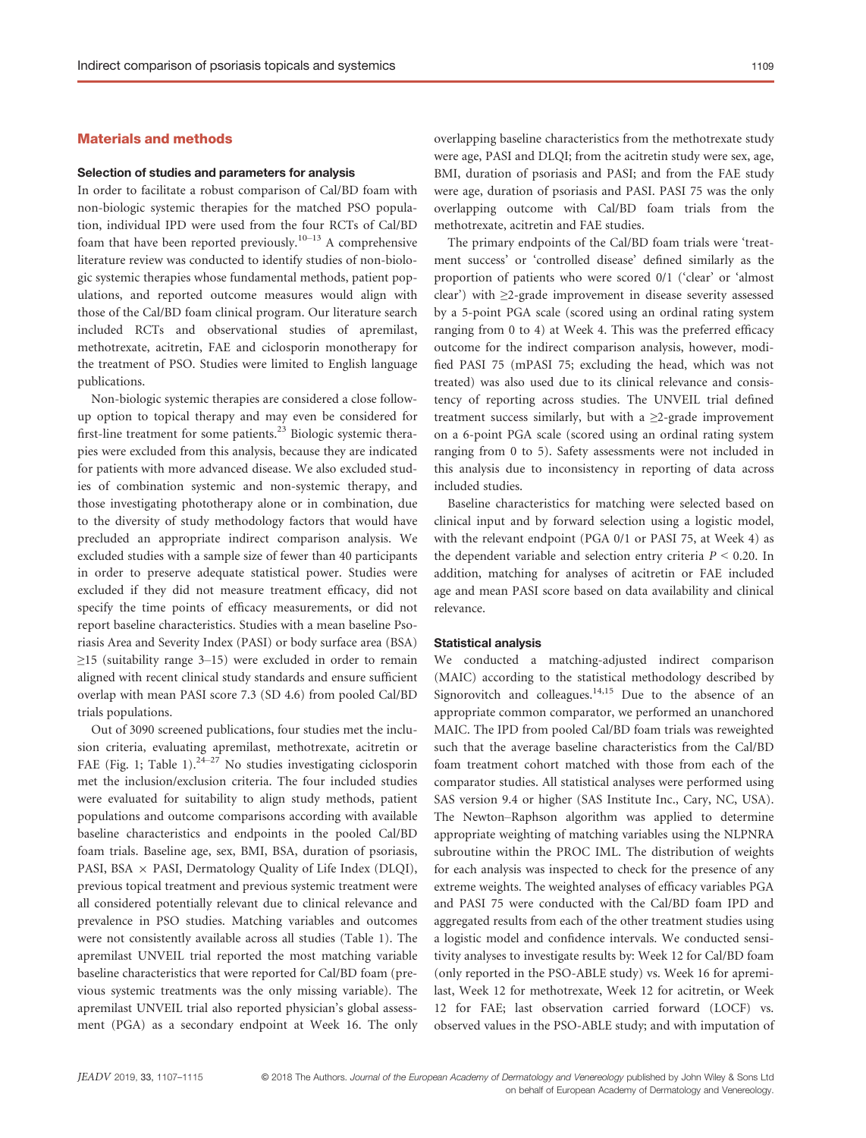# Materials and methods

## Selection of studies and parameters for analysis

In order to facilitate a robust comparison of Cal/BD foam with non-biologic systemic therapies for the matched PSO population, individual IPD were used from the four RCTs of Cal/BD foam that have been reported previously.<sup>10–13</sup> A comprehensive literature review was conducted to identify studies of non-biologic systemic therapies whose fundamental methods, patient populations, and reported outcome measures would align with those of the Cal/BD foam clinical program. Our literature search included RCTs and observational studies of apremilast, methotrexate, acitretin, FAE and ciclosporin monotherapy for the treatment of PSO. Studies were limited to English language publications.

Non-biologic systemic therapies are considered a close followup option to topical therapy and may even be considered for first-line treatment for some patients.<sup>23</sup> Biologic systemic therapies were excluded from this analysis, because they are indicated for patients with more advanced disease. We also excluded studies of combination systemic and non-systemic therapy, and those investigating phototherapy alone or in combination, due to the diversity of study methodology factors that would have precluded an appropriate indirect comparison analysis. We excluded studies with a sample size of fewer than 40 participants in order to preserve adequate statistical power. Studies were excluded if they did not measure treatment efficacy, did not specify the time points of efficacy measurements, or did not report baseline characteristics. Studies with a mean baseline Psoriasis Area and Severity Index (PASI) or body surface area (BSA)  $\geq$ 15 (suitability range 3–15) were excluded in order to remain aligned with recent clinical study standards and ensure sufficient overlap with mean PASI score 7.3 (SD 4.6) from pooled Cal/BD trials populations.

Out of 3090 screened publications, four studies met the inclusion criteria, evaluating apremilast, methotrexate, acitretin or FAE (Fig. 1; Table 1). $24-27$  No studies investigating ciclosporin met the inclusion/exclusion criteria. The four included studies were evaluated for suitability to align study methods, patient populations and outcome comparisons according with available baseline characteristics and endpoints in the pooled Cal/BD foam trials. Baseline age, sex, BMI, BSA, duration of psoriasis, PASI, BSA  $\times$  PASI, Dermatology Quality of Life Index (DLQI), previous topical treatment and previous systemic treatment were all considered potentially relevant due to clinical relevance and prevalence in PSO studies. Matching variables and outcomes were not consistently available across all studies (Table 1). The apremilast UNVEIL trial reported the most matching variable baseline characteristics that were reported for Cal/BD foam (previous systemic treatments was the only missing variable). The apremilast UNVEIL trial also reported physician's global assessment (PGA) as a secondary endpoint at Week 16. The only overlapping baseline characteristics from the methotrexate study were age, PASI and DLQI; from the acitretin study were sex, age, BMI, duration of psoriasis and PASI; and from the FAE study were age, duration of psoriasis and PASI. PASI 75 was the only overlapping outcome with Cal/BD foam trials from the methotrexate, acitretin and FAE studies.

The primary endpoints of the Cal/BD foam trials were 'treatment success' or 'controlled disease' defined similarly as the proportion of patients who were scored 0/1 ('clear' or 'almost clear') with ≥2-grade improvement in disease severity assessed by a 5-point PGA scale (scored using an ordinal rating system ranging from 0 to 4) at Week 4. This was the preferred efficacy outcome for the indirect comparison analysis, however, modified PASI 75 (mPASI 75; excluding the head, which was not treated) was also used due to its clinical relevance and consistency of reporting across studies. The UNVEIL trial defined treatment success similarly, but with a  $\geq$ 2-grade improvement on a 6-point PGA scale (scored using an ordinal rating system ranging from 0 to 5). Safety assessments were not included in this analysis due to inconsistency in reporting of data across included studies.

Baseline characteristics for matching were selected based on clinical input and by forward selection using a logistic model, with the relevant endpoint (PGA 0/1 or PASI 75, at Week 4) as the dependent variable and selection entry criteria  $P \le 0.20$ . In addition, matching for analyses of acitretin or FAE included age and mean PASI score based on data availability and clinical relevance.

#### Statistical analysis

We conducted a matching-adjusted indirect comparison (MAIC) according to the statistical methodology described by Signorovitch and colleagues.<sup>14,15</sup> Due to the absence of an appropriate common comparator, we performed an unanchored MAIC. The IPD from pooled Cal/BD foam trials was reweighted such that the average baseline characteristics from the Cal/BD foam treatment cohort matched with those from each of the comparator studies. All statistical analyses were performed using SAS version 9.4 or higher (SAS Institute Inc., Cary, NC, USA). The Newton–Raphson algorithm was applied to determine appropriate weighting of matching variables using the NLPNRA subroutine within the PROC IML. The distribution of weights for each analysis was inspected to check for the presence of any extreme weights. The weighted analyses of efficacy variables PGA and PASI 75 were conducted with the Cal/BD foam IPD and aggregated results from each of the other treatment studies using a logistic model and confidence intervals. We conducted sensitivity analyses to investigate results by: Week 12 for Cal/BD foam (only reported in the PSO-ABLE study) vs. Week 16 for apremilast, Week 12 for methotrexate, Week 12 for acitretin, or Week 12 for FAE; last observation carried forward (LOCF) vs. observed values in the PSO-ABLE study; and with imputation of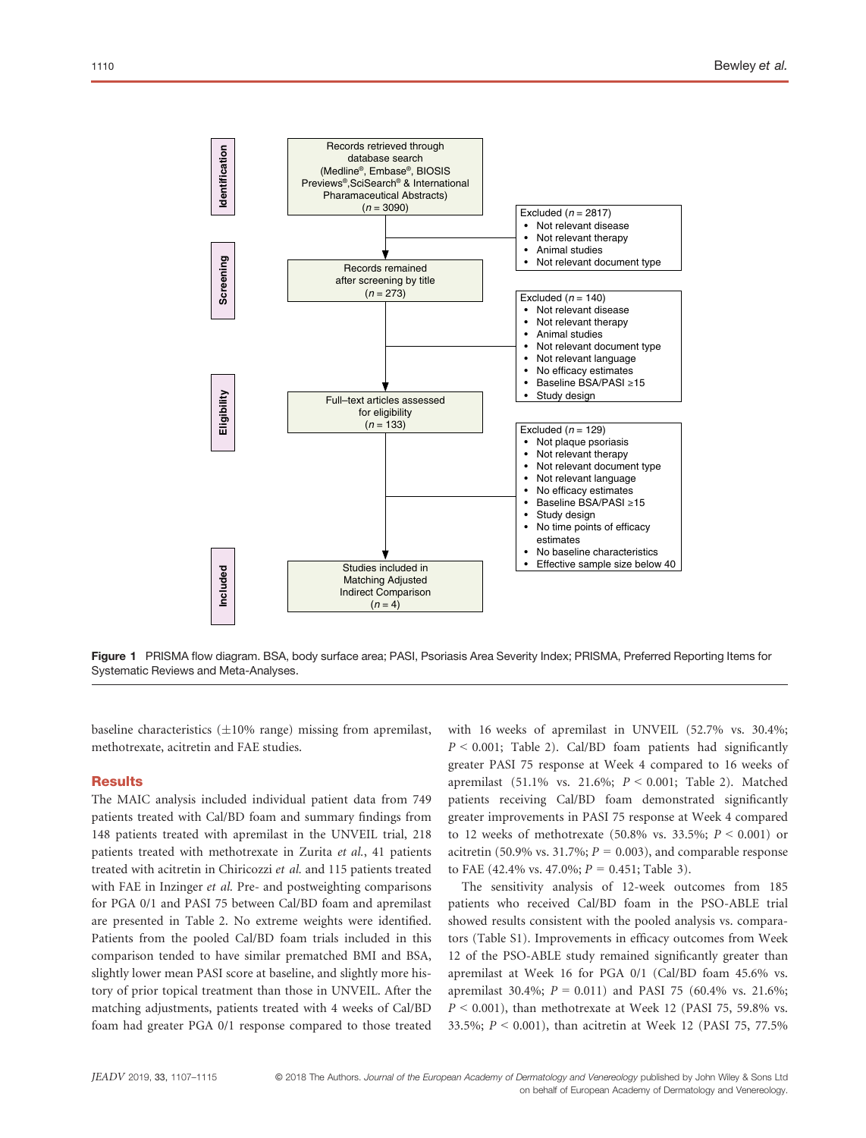

Figure 1 PRISMA flow diagram. BSA, body surface area; PASI, Psoriasis Area Severity Index; PRISMA, Preferred Reporting Items for Systematic Reviews and Meta-Analyses.

baseline characteristics  $(\pm 10\%$  range) missing from apremilast, methotrexate, acitretin and FAE studies.

## **Results**

The MAIC analysis included individual patient data from 749 patients treated with Cal/BD foam and summary findings from 148 patients treated with apremilast in the UNVEIL trial, 218 patients treated with methotrexate in Zurita et al., 41 patients treated with acitretin in Chiricozzi et al. and 115 patients treated with FAE in Inzinger *et al.* Pre- and postweighting comparisons for PGA 0/1 and PASI 75 between Cal/BD foam and apremilast are presented in Table 2. No extreme weights were identified. Patients from the pooled Cal/BD foam trials included in this comparison tended to have similar prematched BMI and BSA, slightly lower mean PASI score at baseline, and slightly more history of prior topical treatment than those in UNVEIL. After the matching adjustments, patients treated with 4 weeks of Cal/BD foam had greater PGA 0/1 response compared to those treated with 16 weeks of apremilast in UNVEIL (52.7% vs. 30.4%;  $P \le 0.001$ ; Table 2). Cal/BD foam patients had significantly greater PASI 75 response at Week 4 compared to 16 weeks of apremilast (51.1% vs. 21.6%;  $P \le 0.001$ ; Table 2). Matched patients receiving Cal/BD foam demonstrated significantly greater improvements in PASI 75 response at Week 4 compared to 12 weeks of methotrexate (50.8% vs. 33.5%;  $P < 0.001$ ) or acitretin (50.9% vs. 31.7%;  $P = 0.003$ ), and comparable response to FAE (42.4% vs. 47.0%;  $P = 0.451$ ; Table 3).

The sensitivity analysis of 12-week outcomes from 185 patients who received Cal/BD foam in the PSO-ABLE trial showed results consistent with the pooled analysis vs. comparators (Table S1). Improvements in efficacy outcomes from Week 12 of the PSO-ABLE study remained significantly greater than apremilast at Week 16 for PGA 0/1 (Cal/BD foam 45.6% vs. apremilast 30.4%;  $P = 0.011$ ) and PASI 75 (60.4% vs. 21.6%;  $P < 0.001$ ), than methotrexate at Week 12 (PASI 75, 59.8% vs. 33.5%;  $P < 0.001$ ), than acitretin at Week 12 (PASI 75, 77.5%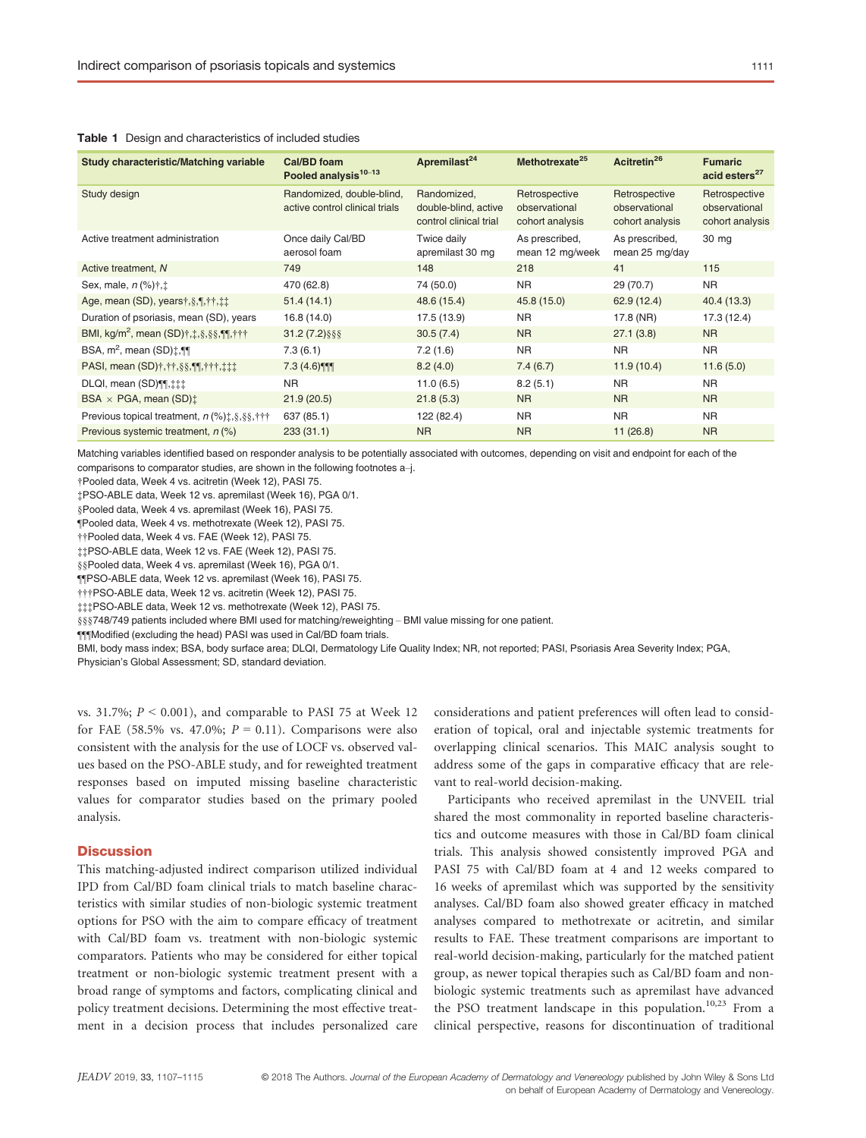| Study characteristic/Matching variable                                                                          | Cal/BD foam<br>Pooled analysis <sup>10-13</sup>             | Apremilast <sup>24</sup>                                      | Methotrexate <sup>25</sup>                        | Acitretin <sup>26</sup>                           | <b>Fumaric</b><br>acid esters <sup>27</sup>       |
|-----------------------------------------------------------------------------------------------------------------|-------------------------------------------------------------|---------------------------------------------------------------|---------------------------------------------------|---------------------------------------------------|---------------------------------------------------|
| Study design                                                                                                    | Randomized, double-blind,<br>active control clinical trials | Randomized.<br>double-blind, active<br>control clinical trial | Retrospective<br>observational<br>cohort analysis | Retrospective<br>observational<br>cohort analysis | Retrospective<br>observational<br>cohort analysis |
| Active treatment administration                                                                                 | Once daily Cal/BD<br>aerosol foam                           | Twice daily<br>apremilast 30 mg                               | As prescribed,<br>mean 12 mg/week                 | As prescribed,<br>mean 25 mg/day                  | 30 mg                                             |
| Active treatment, N                                                                                             | 749                                                         | 148                                                           | 218                                               | 41                                                | 115                                               |
| Sex, male, $n$ (%) $\dagger$ , $\dagger$                                                                        | 470 (62.8)                                                  | 74 (50.0)                                                     | <b>NR</b>                                         | 29 (70.7)                                         | <b>NR</b>                                         |
| Age, mean (SD), years $\frac{1}{3}$ , $\frac{1}{3}$ , $\frac{1}{1}$ , $\frac{1}{4}$                             | 51.4(14.1)                                                  | 48.6 (15.4)                                                   | 45.8 (15.0)                                       | 62.9(12.4)                                        | 40.4 (13.3)                                       |
| Duration of psoriasis, mean (SD), years                                                                         | 16.8 (14.0)                                                 | 17.5 (13.9)                                                   | <b>NR</b>                                         | 17.8 (NR)                                         | 17.3 (12.4)                                       |
| BMI, kg/m <sup>2</sup> , mean $(SD)$ †, t, §, §§, ¶[, †††                                                       | $31.2(7.2)\$ §§§                                            | 30.5(7.4)                                                     | <b>NR</b>                                         | 27.1(3.8)                                         | N <sub>R</sub>                                    |
| BSA, $m^2$ , mean $(SD)$ : $\P\P$                                                                               | 7.3(6.1)                                                    | 7.2(1.6)                                                      | <b>NR</b>                                         | <b>NR</b>                                         | <b>NR</b>                                         |
| PASI, mean (SD) $\dagger$ , $\dagger$ + $\frac{1}{2}$ , $\frac{1}{2}$ , $\dagger$ + $\dagger$ , $\frac{1}{2}$ ; | $7.3(4.6)$ ¶                                                | 8.2(4.0)                                                      | 7.4(6.7)                                          | 11.9(10.4)                                        | 11.6(5.0)                                         |
| DLQI, mean (SD)¶¶, ::::                                                                                         | <b>NR</b>                                                   | 11.0(6.5)                                                     | 8.2(5.1)                                          | N <sub>R</sub>                                    | N <sub>R</sub>                                    |
| BSA $\times$ PGA, mean (SD) $\ddagger$                                                                          | 21.9(20.5)                                                  | 21.8(5.3)                                                     | <b>NR</b>                                         | <b>NR</b>                                         | <b>NR</b>                                         |
| Previous topical treatment, $n$ (%) $\ddagger$ , §, §§, †††                                                     | 637 (85.1)                                                  | 122 (82.4)                                                    | <b>NR</b>                                         | <b>NR</b>                                         | N <sub>R</sub>                                    |
| Previous systemic treatment, n (%)                                                                              | 233(31.1)                                                   | <b>NR</b>                                                     | <b>NR</b>                                         | 11(26.8)                                          | <b>NR</b>                                         |

### Table 1 Design and characteristics of included studies

Matching variables identified based on responder analysis to be potentially associated with outcomes, depending on visit and endpoint for each of the comparisons to comparator studies, are shown in the following footnotes a–j.

†Pooled data, Week 4 vs. acitretin (Week 12), PASI 75.

‡PSO-ABLE data, Week 12 vs. apremilast (Week 16), PGA 0/1.

§Pooled data, Week 4 vs. apremilast (Week 16), PASI 75.

¶Pooled data, Week 4 vs. methotrexate (Week 12), PASI 75.

††Pooled data, Week 4 vs. FAE (Week 12), PASI 75.

‡‡PSO-ABLE data, Week 12 vs. FAE (Week 12), PASI 75.

§§Pooled data, Week 4 vs. apremilast (Week 16), PGA 0/1.

¶¶PSO-ABLE data, Week 12 vs. apremilast (Week 16), PASI 75.

†††PSO-ABLE data, Week 12 vs. acitretin (Week 12), PASI 75.

‡‡‡PSO-ABLE data, Week 12 vs. methotrexate (Week 12), PASI 75.

§§§748/749 patients included where BMI used for matching/reweighting – BMI value missing for one patient.

¶¶¶Modified (excluding the head) PASI was used in Cal/BD foam trials.

BMI, body mass index; BSA, body surface area; DLQI, Dermatology Life Quality Index; NR, not reported; PASI, Psoriasis Area Severity Index; PGA, Physician's Global Assessment; SD, standard deviation.

vs. 31.7%;  $P < 0.001$ ), and comparable to PASI 75 at Week 12 for FAE (58.5% vs. 47.0%;  $P = 0.11$ ). Comparisons were also consistent with the analysis for the use of LOCF vs. observed values based on the PSO-ABLE study, and for reweighted treatment responses based on imputed missing baseline characteristic values for comparator studies based on the primary pooled analysis.

## **Discussion**

This matching-adjusted indirect comparison utilized individual IPD from Cal/BD foam clinical trials to match baseline characteristics with similar studies of non-biologic systemic treatment options for PSO with the aim to compare efficacy of treatment with Cal/BD foam vs. treatment with non-biologic systemic comparators. Patients who may be considered for either topical treatment or non-biologic systemic treatment present with a broad range of symptoms and factors, complicating clinical and policy treatment decisions. Determining the most effective treatment in a decision process that includes personalized care

considerations and patient preferences will often lead to consideration of topical, oral and injectable systemic treatments for overlapping clinical scenarios. This MAIC analysis sought to address some of the gaps in comparative efficacy that are relevant to real-world decision-making.

Participants who received apremilast in the UNVEIL trial shared the most commonality in reported baseline characteristics and outcome measures with those in Cal/BD foam clinical trials. This analysis showed consistently improved PGA and PASI 75 with Cal/BD foam at 4 and 12 weeks compared to 16 weeks of apremilast which was supported by the sensitivity analyses. Cal/BD foam also showed greater efficacy in matched analyses compared to methotrexate or acitretin, and similar results to FAE. These treatment comparisons are important to real-world decision-making, particularly for the matched patient group, as newer topical therapies such as Cal/BD foam and nonbiologic systemic treatments such as apremilast have advanced the PSO treatment landscape in this population.<sup>10,23</sup> From a clinical perspective, reasons for discontinuation of traditional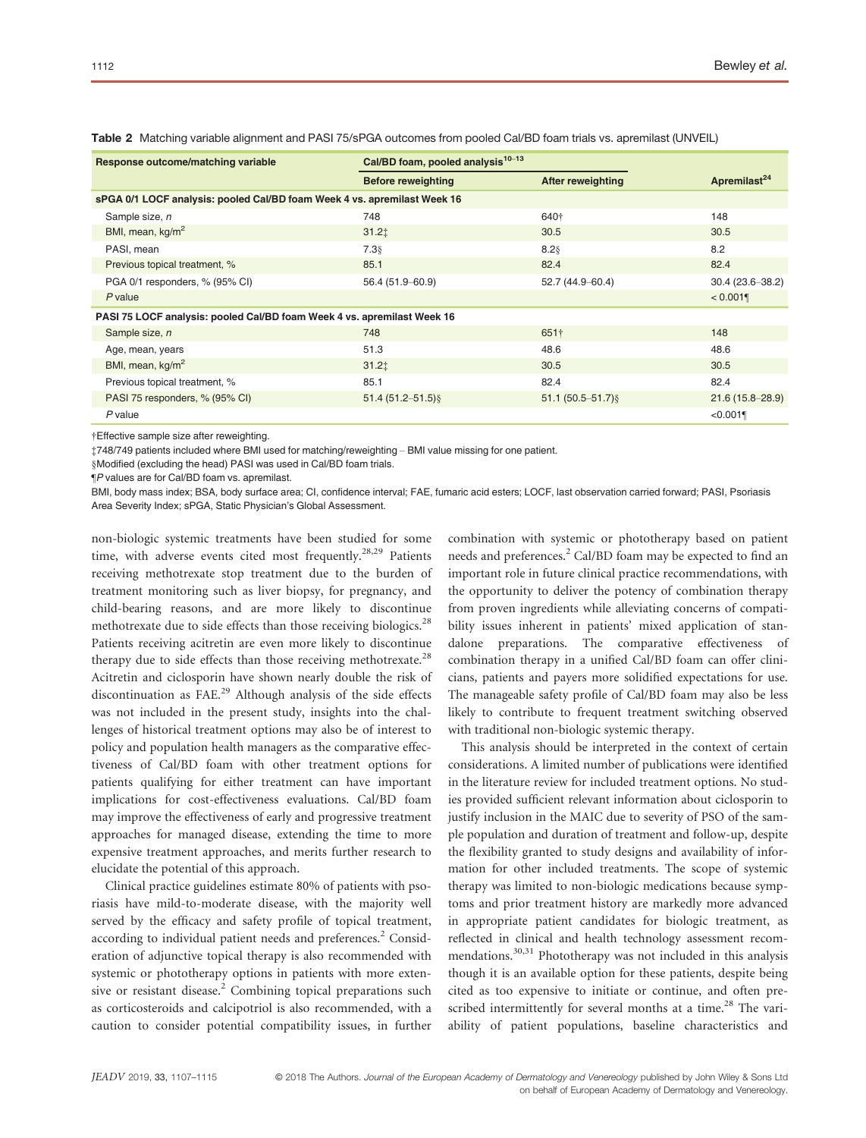| Response outcome/matching variable                                       | Cal/BD foam, pooled analysis <sup>10-13</sup> |                          |                          |  |  |  |
|--------------------------------------------------------------------------|-----------------------------------------------|--------------------------|--------------------------|--|--|--|
|                                                                          | <b>Before reweighting</b>                     | <b>After reweighting</b> | Apremilast <sup>24</sup> |  |  |  |
| sPGA 0/1 LOCF analysis: pooled Cal/BD foam Week 4 vs. apremilast Week 16 |                                               |                          |                          |  |  |  |
| Sample size, n                                                           | 748                                           | 640†                     | 148                      |  |  |  |
| BMI, mean, kg/m <sup>2</sup>                                             | 31.21                                         | 30.5                     | 30.5                     |  |  |  |
| PASI, mean                                                               | 7.38                                          | $8.2$ §                  | 8.2                      |  |  |  |
| Previous topical treatment, %                                            | 85.1                                          | 82.4                     | 82.4                     |  |  |  |
| PGA 0/1 responders, % (95% CI)                                           | 56.4 (51.9-60.9)                              | 52.7 (44.9-60.4)         | $30.4(23.6 - 38.2)$      |  |  |  |
| $P$ value                                                                |                                               |                          | $< 0.001$ ¶              |  |  |  |
| PASI 75 LOCF analysis: pooled Cal/BD foam Week 4 vs. apremilast Week 16  |                                               |                          |                          |  |  |  |
| Sample size, n                                                           | 748                                           | 651†                     | 148                      |  |  |  |
| Age, mean, years                                                         | 51.3                                          | 48.6                     | 48.6                     |  |  |  |
| BMI, mean, kg/m <sup>2</sup>                                             | 31.21                                         | 30.5                     | 30.5                     |  |  |  |
| Previous topical treatment, %                                            | 85.1                                          | 82.4                     | 82.4                     |  |  |  |
| PASI 75 responders, % (95% CI)                                           | $51.4(51.2 - 51.5)$                           | $51.1(50.5 - 51.7)$      | $21.6(15.8 - 28.9)$      |  |  |  |
| $P$ value                                                                |                                               |                          | < 0.001                  |  |  |  |

Table 2 Matching variable alignment and PASI 75/sPGA outcomes from pooled Cal/BD foam trials vs. apremilast (UNVEIL)

†Effective sample size after reweighting.

‡748/749 patients included where BMI used for matching/reweighting – BMI value missing for one patient.

§Modified (excluding the head) PASI was used in Cal/BD foam trials.

¶P values are for Cal/BD foam vs. apremilast.

BMI, body mass index; BSA, body surface area; CI, confidence interval; FAE, fumaric acid esters; LOCF, last observation carried forward; PASI, Psoriasis Area Severity Index; sPGA, Static Physician's Global Assessment.

non-biologic systemic treatments have been studied for some time, with adverse events cited most frequently.<sup>28,29</sup> Patients receiving methotrexate stop treatment due to the burden of treatment monitoring such as liver biopsy, for pregnancy, and child-bearing reasons, and are more likely to discontinue methotrexate due to side effects than those receiving biologics.<sup>28</sup> Patients receiving acitretin are even more likely to discontinue therapy due to side effects than those receiving methotrexate.<sup>28</sup> Acitretin and ciclosporin have shown nearly double the risk of discontinuation as FAE.<sup>29</sup> Although analysis of the side effects was not included in the present study, insights into the challenges of historical treatment options may also be of interest to policy and population health managers as the comparative effectiveness of Cal/BD foam with other treatment options for patients qualifying for either treatment can have important implications for cost-effectiveness evaluations. Cal/BD foam may improve the effectiveness of early and progressive treatment approaches for managed disease, extending the time to more expensive treatment approaches, and merits further research to elucidate the potential of this approach.

Clinical practice guidelines estimate 80% of patients with psoriasis have mild-to-moderate disease, with the majority well served by the efficacy and safety profile of topical treatment, according to individual patient needs and preferences.<sup>2</sup> Consideration of adjunctive topical therapy is also recommended with systemic or phototherapy options in patients with more extensive or resistant disease.<sup>2</sup> Combining topical preparations such as corticosteroids and calcipotriol is also recommended, with a caution to consider potential compatibility issues, in further combination with systemic or phototherapy based on patient needs and preferences.<sup>2</sup> Cal/BD foam may be expected to find an important role in future clinical practice recommendations, with the opportunity to deliver the potency of combination therapy from proven ingredients while alleviating concerns of compatibility issues inherent in patients' mixed application of standalone preparations. The comparative effectiveness of combination therapy in a unified Cal/BD foam can offer clinicians, patients and payers more solidified expectations for use. The manageable safety profile of Cal/BD foam may also be less likely to contribute to frequent treatment switching observed with traditional non-biologic systemic therapy.

This analysis should be interpreted in the context of certain considerations. A limited number of publications were identified in the literature review for included treatment options. No studies provided sufficient relevant information about ciclosporin to justify inclusion in the MAIC due to severity of PSO of the sample population and duration of treatment and follow-up, despite the flexibility granted to study designs and availability of information for other included treatments. The scope of systemic therapy was limited to non-biologic medications because symptoms and prior treatment history are markedly more advanced in appropriate patient candidates for biologic treatment, as reflected in clinical and health technology assessment recommendations.<sup>30,31</sup> Phototherapy was not included in this analysis though it is an available option for these patients, despite being cited as too expensive to initiate or continue, and often prescribed intermittently for several months at a time.<sup>28</sup> The variability of patient populations, baseline characteristics and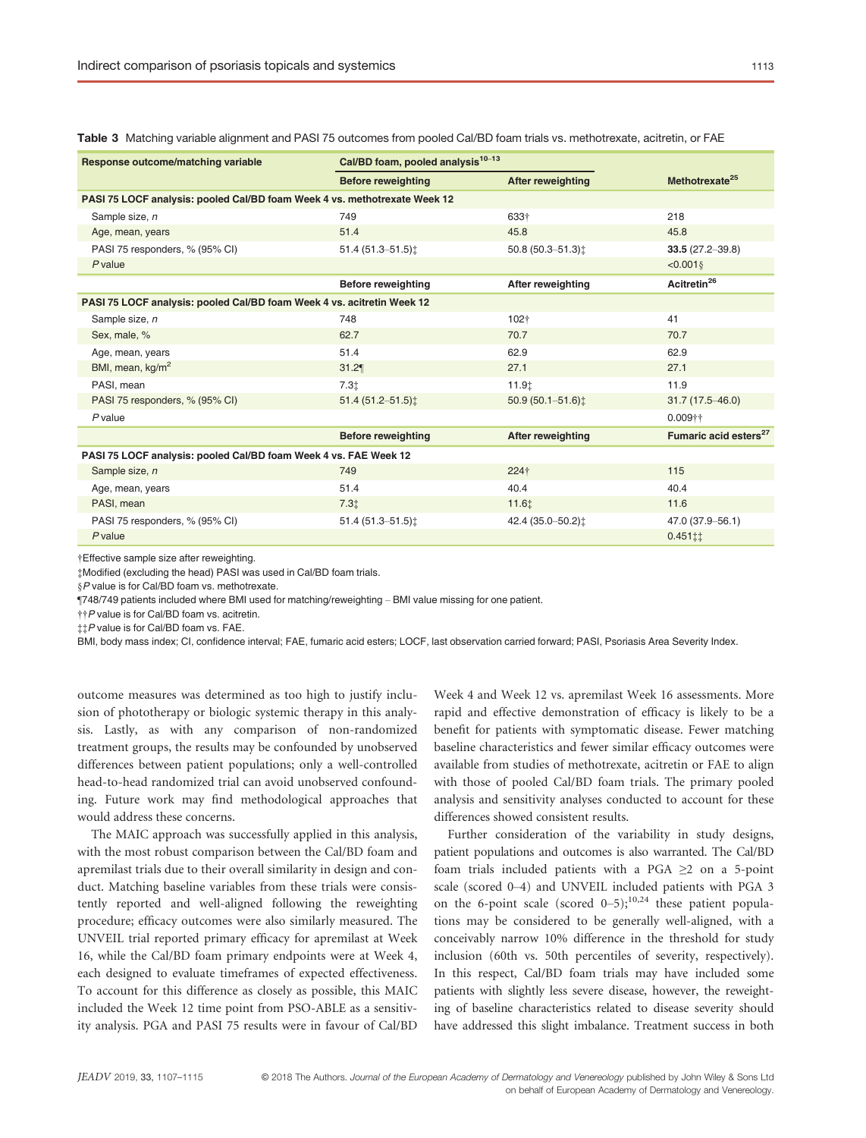| Response outcome/matching variable                                        | Cal/BD foam, pooled analysis <sup>10-13</sup> |                             |                                   |  |  |  |  |
|---------------------------------------------------------------------------|-----------------------------------------------|-----------------------------|-----------------------------------|--|--|--|--|
|                                                                           | <b>Before reweighting</b>                     | <b>After reweighting</b>    | Methotrexate <sup>25</sup>        |  |  |  |  |
| PASI 75 LOCF analysis: pooled Cal/BD foam Week 4 vs. methotrexate Week 12 |                                               |                             |                                   |  |  |  |  |
| Sample size, n                                                            | 749                                           | 633+                        | 218                               |  |  |  |  |
| Age, mean, years                                                          | 51.4                                          | 45.8                        | 45.8                              |  |  |  |  |
| PASI 75 responders, % (95% CI)                                            | 51.4 (51.3-51.5) $\ddagger$                   | 50.8 (50.3-51.3):           | $33.5(27.2 - 39.8)$               |  |  |  |  |
| $P$ value                                                                 |                                               |                             | < 0.001                           |  |  |  |  |
|                                                                           | Before reweighting                            | <b>After reweighting</b>    | Acitretin <sup>26</sup>           |  |  |  |  |
| PASI 75 LOCF analysis: pooled Cal/BD foam Week 4 vs. acitretin Week 12    |                                               |                             |                                   |  |  |  |  |
| Sample size, n                                                            | 748                                           | 102+                        | 41                                |  |  |  |  |
| Sex, male, %                                                              | 62.7                                          | 70.7                        | 70.7                              |  |  |  |  |
| Age, mean, years                                                          | 51.4                                          | 62.9                        | 62.9                              |  |  |  |  |
| BMI, mean, kg/m <sup>2</sup>                                              | 31.2                                          | 27.1                        | 27.1                              |  |  |  |  |
| PASI, mean                                                                | 7.3 <sub>1</sub>                              | 11.9t                       | 11.9                              |  |  |  |  |
| PASI 75 responders, % (95% CI)                                            | $51.4(51.2 - 51.5)$                           | $50.9(50.1 - 51.6)$         | $31.7(17.5 - 46.0)$               |  |  |  |  |
| $P$ value                                                                 |                                               |                             | $0.009$ ††                        |  |  |  |  |
|                                                                           | <b>Before reweighting</b>                     | <b>After reweighting</b>    | Fumaric acid esters <sup>27</sup> |  |  |  |  |
| PASI 75 LOCF analysis: pooled Cal/BD foam Week 4 vs. FAE Week 12          |                                               |                             |                                   |  |  |  |  |
| Sample size, n                                                            | 749                                           | 224†                        | 115                               |  |  |  |  |
| Age, mean, years                                                          | 51.4                                          | 40.4                        | 40.4                              |  |  |  |  |
| PASI, mean                                                                | 7.31                                          | 11.61                       | 11.6                              |  |  |  |  |
| PASI 75 responders, % (95% CI)                                            | 51.4 (51.3-51.5) $\ddagger$                   | 42.4 (35.0-50.2) $\ddagger$ | 47.0 (37.9-56.1)                  |  |  |  |  |
| $P$ value                                                                 |                                               |                             | $0.451$ ::                        |  |  |  |  |

Table 3 Matching variable alignment and PASI 75 outcomes from pooled Cal/BD foam trials vs. methotrexate, acitretin, or FAE

†Effective sample size after reweighting.

‡Modified (excluding the head) PASI was used in Cal/BD foam trials.

§P value is for Cal/BD foam vs. methotrexate.

¶748/749 patients included where BMI used for matching/reweighting – BMI value missing for one patient.

††P value is for Cal/BD foam vs. acitretin.

‡‡P value is for Cal/BD foam vs. FAE.

BMI, body mass index; CI, confidence interval; FAE, fumaric acid esters; LOCF, last observation carried forward; PASI, Psoriasis Area Severity Index.

outcome measures was determined as too high to justify inclusion of phototherapy or biologic systemic therapy in this analysis. Lastly, as with any comparison of non-randomized treatment groups, the results may be confounded by unobserved differences between patient populations; only a well-controlled head-to-head randomized trial can avoid unobserved confounding. Future work may find methodological approaches that would address these concerns.

The MAIC approach was successfully applied in this analysis, with the most robust comparison between the Cal/BD foam and apremilast trials due to their overall similarity in design and conduct. Matching baseline variables from these trials were consistently reported and well-aligned following the reweighting procedure; efficacy outcomes were also similarly measured. The UNVEIL trial reported primary efficacy for apremilast at Week 16, while the Cal/BD foam primary endpoints were at Week 4, each designed to evaluate timeframes of expected effectiveness. To account for this difference as closely as possible, this MAIC included the Week 12 time point from PSO-ABLE as a sensitivity analysis. PGA and PASI 75 results were in favour of Cal/BD Week 4 and Week 12 vs. apremilast Week 16 assessments. More rapid and effective demonstration of efficacy is likely to be a benefit for patients with symptomatic disease. Fewer matching baseline characteristics and fewer similar efficacy outcomes were available from studies of methotrexate, acitretin or FAE to align with those of pooled Cal/BD foam trials. The primary pooled analysis and sensitivity analyses conducted to account for these differences showed consistent results.

Further consideration of the variability in study designs, patient populations and outcomes is also warranted. The Cal/BD foam trials included patients with a PGA ≥2 on a 5-point scale (scored 0–4) and UNVEIL included patients with PGA 3 on the 6-point scale (scored  $0-5$ );<sup>10,24</sup> these patient populations may be considered to be generally well-aligned, with a conceivably narrow 10% difference in the threshold for study inclusion (60th vs. 50th percentiles of severity, respectively). In this respect, Cal/BD foam trials may have included some patients with slightly less severe disease, however, the reweighting of baseline characteristics related to disease severity should have addressed this slight imbalance. Treatment success in both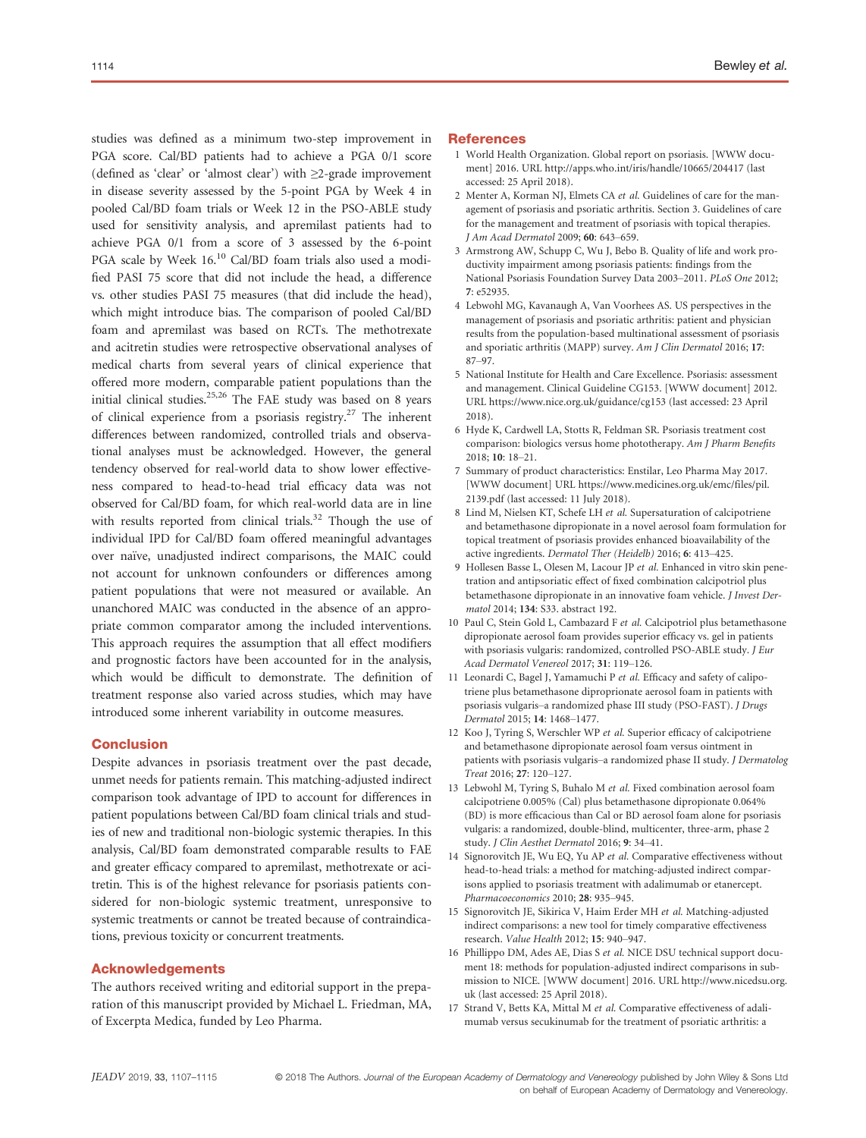studies was defined as a minimum two-step improvement in PGA score. Cal/BD patients had to achieve a PGA 0/1 score (defined as 'clear' or 'almost clear') with ≥2-grade improvement in disease severity assessed by the 5-point PGA by Week 4 in pooled Cal/BD foam trials or Week 12 in the PSO-ABLE study used for sensitivity analysis, and apremilast patients had to achieve PGA 0/1 from a score of 3 assessed by the 6-point PGA scale by Week 16.<sup>10</sup> Cal/BD foam trials also used a modified PASI 75 score that did not include the head, a difference vs. other studies PASI 75 measures (that did include the head), which might introduce bias. The comparison of pooled Cal/BD foam and apremilast was based on RCTs. The methotrexate and acitretin studies were retrospective observational analyses of medical charts from several years of clinical experience that offered more modern, comparable patient populations than the initial clinical studies.<sup>25,26</sup> The FAE study was based on 8 years of clinical experience from a psoriasis registry.<sup>27</sup> The inherent differences between randomized, controlled trials and observational analyses must be acknowledged. However, the general tendency observed for real-world data to show lower effectiveness compared to head-to-head trial efficacy data was not observed for Cal/BD foam, for which real-world data are in line with results reported from clinical trials.<sup>32</sup> Though the use of individual IPD for Cal/BD foam offered meaningful advantages over naïve, unadjusted indirect comparisons, the MAIC could not account for unknown confounders or differences among patient populations that were not measured or available. An unanchored MAIC was conducted in the absence of an appropriate common comparator among the included interventions. This approach requires the assumption that all effect modifiers and prognostic factors have been accounted for in the analysis, which would be difficult to demonstrate. The definition of treatment response also varied across studies, which may have introduced some inherent variability in outcome measures.

# **Conclusion**

Despite advances in psoriasis treatment over the past decade, unmet needs for patients remain. This matching-adjusted indirect comparison took advantage of IPD to account for differences in patient populations between Cal/BD foam clinical trials and studies of new and traditional non-biologic systemic therapies. In this analysis, Cal/BD foam demonstrated comparable results to FAE and greater efficacy compared to apremilast, methotrexate or acitretin. This is of the highest relevance for psoriasis patients considered for non-biologic systemic treatment, unresponsive to systemic treatments or cannot be treated because of contraindications, previous toxicity or concurrent treatments.

# Acknowledgements

The authors received writing and editorial support in the preparation of this manuscript provided by Michael L. Friedman, MA, of Excerpta Medica, funded by Leo Pharma.

#### **References**

- 1 World Health Organization. Global report on psoriasis. [WWW document] 2016. URL<http://apps.who.int/iris/handle/10665/204417> (last accessed: 25 April 2018).
- 2 Menter A, Korman NJ, Elmets CA et al. Guidelines of care for the management of psoriasis and psoriatic arthritis. Section 3. Guidelines of care for the management and treatment of psoriasis with topical therapies. J Am Acad Dermatol 2009; 60: 643–659.
- 3 Armstrong AW, Schupp C, Wu J, Bebo B. Quality of life and work productivity impairment among psoriasis patients: findings from the National Psoriasis Foundation Survey Data 2003–2011. PLoS One 2012; 7: e52935.
- 4 Lebwohl MG, Kavanaugh A, Van Voorhees AS. US perspectives in the management of psoriasis and psoriatic arthritis: patient and physician results from the population-based multinational assessment of psoriasis and sporiatic arthritis (MAPP) survey. Am J Clin Dermatol 2016; 17: 87–97.
- 5 National Institute for Health and Care Excellence. Psoriasis: assessment and management. Clinical Guideline CG153. [WWW document] 2012. URL<https://www.nice.org.uk/guidance/cg153> (last accessed: 23 April 2018).
- 6 Hyde K, Cardwell LA, Stotts R, Feldman SR. Psoriasis treatment cost comparison: biologics versus home phototherapy. Am J Pharm Benefits 2018; 10: 18–21.
- 7 Summary of product characteristics: Enstilar, Leo Pharma May 2017. [WWW document] URL [https://www.medicines.org.uk/emc/files/pil.](https://www.medicines.org.uk/emc/files/pil.2139.pdf) [2139.pdf](https://www.medicines.org.uk/emc/files/pil.2139.pdf) (last accessed: 11 July 2018).
- 8 Lind M, Nielsen KT, Schefe LH et al. Supersaturation of calcipotriene and betamethasone dipropionate in a novel aerosol foam formulation for topical treatment of psoriasis provides enhanced bioavailability of the active ingredients. Dermatol Ther (Heidelb) 2016; 6: 413–425.
- 9 Hollesen Basse L, Olesen M, Lacour JP et al. Enhanced in vitro skin penetration and antipsoriatic effect of fixed combination calcipotriol plus betamethasone dipropionate in an innovative foam vehicle. J Invest Dermatol 2014; 134: S33. abstract 192.
- 10 Paul C, Stein Gold L, Cambazard F et al. Calcipotriol plus betamethasone dipropionate aerosol foam provides superior efficacy vs. gel in patients with psoriasis vulgaris: randomized, controlled PSO-ABLE study. J Eur Acad Dermatol Venereol 2017; 31: 119–126.
- 11 Leonardi C, Bagel J, Yamamuchi P et al. Efficacy and safety of calipotriene plus betamethasone diproprionate aerosol foam in patients with psoriasis vulgaris–a randomized phase III study (PSO-FAST). J Drugs Dermatol 2015; 14: 1468–1477.
- 12 Koo J, Tyring S, Werschler WP et al. Superior efficacy of calcipotriene and betamethasone dipropionate aerosol foam versus ointment in patients with psoriasis vulgaris–a randomized phase II study. J Dermatolog Treat 2016; 27: 120–127.
- 13 Lebwohl M, Tyring S, Buhalo M et al. Fixed combination aerosol foam calcipotriene 0.005% (Cal) plus betamethasone dipropionate 0.064% (BD) is more efficacious than Cal or BD aerosol foam alone for psoriasis vulgaris: a randomized, double-blind, multicenter, three-arm, phase 2 study. J Clin Aesthet Dermatol 2016; 9: 34–41.
- 14 Signorovitch JE, Wu EQ, Yu AP et al. Comparative effectiveness without head-to-head trials: a method for matching-adjusted indirect comparisons applied to psoriasis treatment with adalimumab or etanercept. Pharmacoeconomics 2010; 28: 935–945.
- 15 Signorovitch JE, Sikirica V, Haim Erder MH et al. Matching-adjusted indirect comparisons: a new tool for timely comparative effectiveness research. Value Health 2012; 15: 940–947.
- 16 Phillippo DM, Ades AE, Dias S et al. NICE DSU technical support document 18: methods for population-adjusted indirect comparisons in submission to NICE. [WWW document] 2016. URL [http://www.nicedsu.org.](http://www.nicedsu.org.uk) [uk](http://www.nicedsu.org.uk) (last accessed: 25 April 2018).
- 17 Strand V, Betts KA, Mittal M et al. Comparative effectiveness of adalimumab versus secukinumab for the treatment of psoriatic arthritis: a